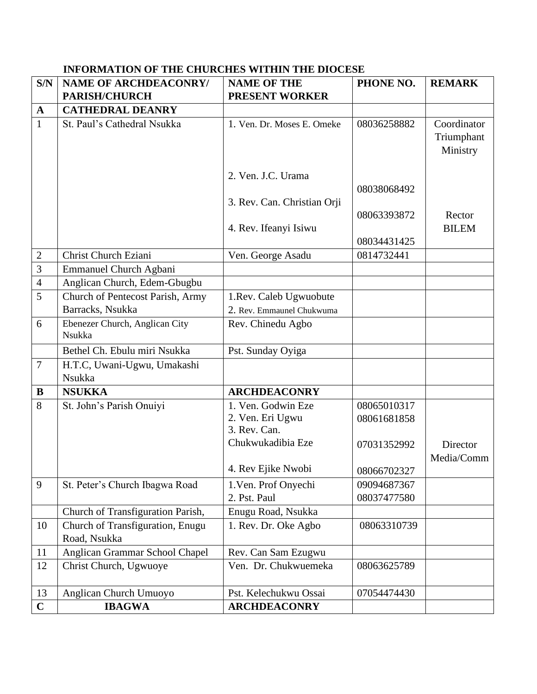| S/N            | <b>NAME OF ARCHDEACONRY/</b>             | <b>NAME OF THE</b>          | PHONE NO.   | <b>REMARK</b>                         |
|----------------|------------------------------------------|-----------------------------|-------------|---------------------------------------|
|                | <b>PARISH/CHURCH</b>                     | <b>PRESENT WORKER</b>       |             |                                       |
| $\mathbf A$    | <b>CATHEDRAL DEANRY</b>                  |                             |             |                                       |
| $\mathbf{1}$   | St. Paul's Cathedral Nsukka              | 1. Ven. Dr. Moses E. Omeke  | 08036258882 | Coordinator<br>Triumphant<br>Ministry |
|                |                                          | 2. Ven. J.C. Urama          |             |                                       |
|                |                                          |                             | 08038068492 |                                       |
|                |                                          | 3. Rev. Can. Christian Orji |             |                                       |
|                |                                          |                             | 08063393872 | Rector                                |
|                |                                          | 4. Rev. Ifeanyi Isiwu       |             | <b>BILEM</b>                          |
|                |                                          |                             | 08034431425 |                                       |
| $\mathbf{2}$   | <b>Christ Church Eziani</b>              | Ven. George Asadu           | 0814732441  |                                       |
| $\overline{3}$ | Emmanuel Church Agbani                   |                             |             |                                       |
| $\overline{4}$ | Anglican Church, Edem-Gbugbu             |                             |             |                                       |
| 5              | Church of Pentecost Parish, Army         | 1. Rev. Caleb Ugwuobute     |             |                                       |
|                | Barracks, Nsukka                         | 2. Rev. Emmaunel Chukwuma   |             |                                       |
| 6              | Ebenezer Church, Anglican City<br>Nsukka | Rev. Chinedu Agbo           |             |                                       |
|                | Bethel Ch. Ebulu miri Nsukka             | Pst. Sunday Oyiga           |             |                                       |
| $\overline{7}$ | H.T.C, Uwani-Ugwu, Umakashi              |                             |             |                                       |
|                | Nsukka                                   |                             |             |                                       |
| B              | <b>NSUKKA</b>                            | <b>ARCHDEACONRY</b>         |             |                                       |
| 8              | St. John's Parish Onuivi                 | 1. Ven. Godwin Eze          | 08065010317 |                                       |
|                |                                          | 2. Ven. Eri Ugwu            | 08061681858 |                                       |
|                |                                          | 3. Rev. Can.                |             |                                       |
|                |                                          | Chukwukadibia Eze           | 07031352992 | Director                              |
|                |                                          |                             |             | Media/Comm                            |
|                |                                          | 4. Rev Ejike Nwobi          | 08066702327 |                                       |
| 9              | St. Peter's Church Ibagwa Road           | 1. Ven. Prof Onyechi        | 09094687367 |                                       |
|                |                                          | 2. Pst. Paul                | 08037477580 |                                       |
|                | Church of Transfiguration Parish,        | Enugu Road, Nsukka          |             |                                       |
| 10             | Church of Transfiguration, Enugu         | 1. Rev. Dr. Oke Agbo        | 08063310739 |                                       |
|                | Road, Nsukka                             |                             |             |                                       |
| 11             | Anglican Grammar School Chapel           | Rev. Can Sam Ezugwu         |             |                                       |
| 12             | Christ Church, Ugwuoye                   | Ven. Dr. Chukwuemeka        | 08063625789 |                                       |
| 13             | Anglican Church Umuoyo                   | Pst. Kelechukwu Ossai       | 07054474430 |                                       |
| $\mathbf C$    | <b>IBAGWA</b>                            | <b>ARCHDEACONRY</b>         |             |                                       |

## **INFORMATION OF THE CHURCHES WITHIN THE DIOCESE**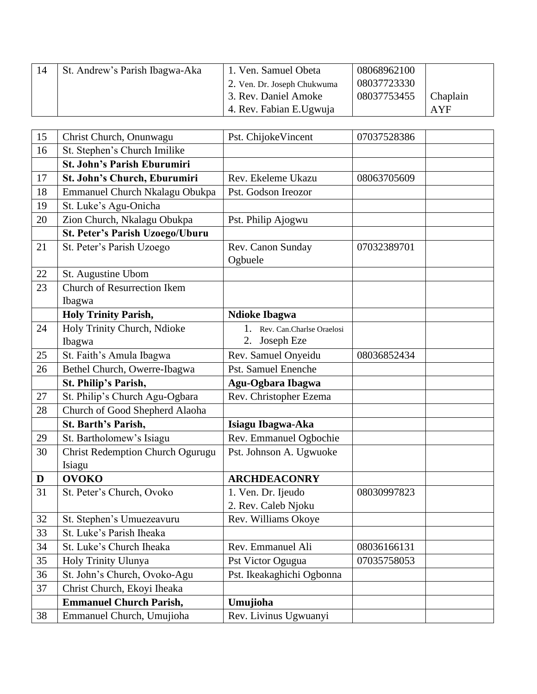| 14 | St. Andrew's Parish Ibagwa-Aka | 1. Ven. Samuel Obeta        | 08068962100 |          |
|----|--------------------------------|-----------------------------|-------------|----------|
|    |                                | 2. Ven. Dr. Joseph Chukwuma | 08037723330 |          |
|    |                                | 3. Rev. Daniel Amoke        | 08037753455 | Chaplain |
|    |                                | 4. Rev. Fabian E.Ugwuja     |             | AYF      |

| 15     | Christ Church, Onunwagu                               | Pst. ChijokeVincent                              | 07037528386 |
|--------|-------------------------------------------------------|--------------------------------------------------|-------------|
| 16     | St. Stephen's Church Imilike                          |                                                  |             |
|        | <b>St. John's Parish Eburumiri</b>                    |                                                  |             |
| 17     | St. John's Church, Eburumiri                          | Rev. Ekeleme Ukazu                               | 08063705609 |
| 18     | Emmanuel Church Nkalagu Obukpa                        | Pst. Godson Ireozor                              |             |
| 19     | St. Luke's Agu-Onicha                                 |                                                  |             |
| 20     | Zion Church, Nkalagu Obukpa                           | Pst. Philip Ajogwu                               |             |
|        | <b>St. Peter's Parish Uzoego/Uburu</b>                |                                                  |             |
| 21     | St. Peter's Parish Uzoego                             | Rev. Canon Sunday<br>Ogbuele                     | 07032389701 |
| 22     | St. Augustine Ubom                                    |                                                  |             |
| 23     | <b>Church of Resurrection Ikem</b>                    |                                                  |             |
|        | Ibagwa                                                |                                                  |             |
|        | <b>Holy Trinity Parish,</b>                           | <b>Ndioke Ibagwa</b>                             |             |
| 24     | Holy Trinity Church, Ndioke<br>Ibagwa                 | 1. Rev. Can.Charlse Oraelosi<br>Joseph Eze<br>2. |             |
| 25     | St. Faith's Amula Ibagwa                              | Rev. Samuel Onyeidu                              | 08036852434 |
| 26     | Bethel Church, Owerre-Ibagwa                          | <b>Pst. Samuel Enenche</b>                       |             |
|        |                                                       |                                                  |             |
|        | St. Philip's Parish,                                  |                                                  |             |
| 27     | St. Philip's Church Agu-Ogbara                        | Agu-Ogbara Ibagwa<br>Rev. Christopher Ezema      |             |
| 28     | Church of Good Shepherd Alaoha                        |                                                  |             |
|        | St. Barth's Parish,                                   | Isiagu Ibagwa-Aka                                |             |
| 29     | St. Bartholomew's Isiagu                              | Rev. Emmanuel Ogbochie                           |             |
| 30     | Christ Redemption Church Ogurugu<br>Isiagu            | Pst. Johnson A. Ugwuoke                          |             |
| D      | <b>OVOKO</b>                                          | <b>ARCHDEACONRY</b>                              |             |
| 31     | St. Peter's Church, Ovoko                             | 1. Ven. Dr. Ijeudo<br>2. Rev. Caleb Njoku        | 08030997823 |
| $32\,$ |                                                       | Rev. Williams Okoye                              |             |
| 33     | St. Stephen's Umuezeavuru<br>St. Luke's Parish Iheaka |                                                  |             |
| 34     | St. Luke's Church Iheaka                              | Rev. Emmanuel Ali                                | 08036166131 |
| 35     | Holy Trinity Ulunya                                   | Pst Victor Ogugua                                | 07035758053 |
| 36     | St. John's Church, Ovoko-Agu                          | Pst. Ikeakaghichi Ogbonna                        |             |
| 37     | Christ Church, Ekoyi Iheaka                           |                                                  |             |
|        | <b>Emmanuel Church Parish,</b>                        | Umujioha                                         |             |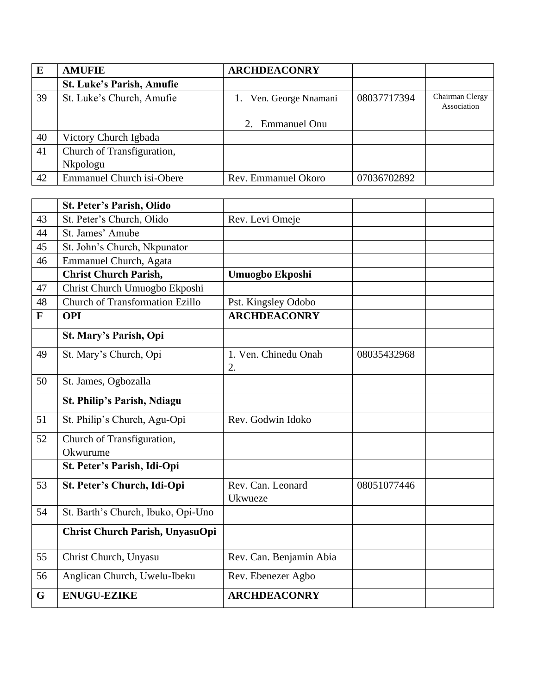| E  | <b>AMUFIE</b>                    | <b>ARCHDEACONRY</b>    |             |                                |
|----|----------------------------------|------------------------|-------------|--------------------------------|
|    | <b>St. Luke's Parish, Amufie</b> |                        |             |                                |
| 39 | St. Luke's Church, Amufie        | 1. Ven. George Nnamani | 08037717394 | Chairman Clergy<br>Association |
|    |                                  | 2. Emmanuel Onu        |             |                                |
| 40 | Victory Church Igbada            |                        |             |                                |
| 41 | Church of Transfiguration,       |                        |             |                                |
|    | Nkpologu                         |                        |             |                                |
| 42 | <b>Emmanuel Church isi-Obere</b> | Rev. Emmanuel Okoro    | 07036702892 |                                |

|              | <b>St. Peter's Parish, Olido</b>       |                              |             |  |
|--------------|----------------------------------------|------------------------------|-------------|--|
| 43           | St. Peter's Church, Olido              | Rev. Levi Omeje              |             |  |
| 44           | St. James' Amube                       |                              |             |  |
| 45           | St. John's Church, Nkpunator           |                              |             |  |
| 46           | Emmanuel Church, Agata                 |                              |             |  |
|              | <b>Christ Church Parish,</b>           | <b>Umuogbo Ekposhi</b>       |             |  |
| 47           | Christ Church Umuogbo Ekposhi          |                              |             |  |
| 48           | <b>Church of Transformation Ezillo</b> | Pst. Kingsley Odobo          |             |  |
| $\mathbf{F}$ | <b>OPI</b>                             | <b>ARCHDEACONRY</b>          |             |  |
|              | St. Mary's Parish, Opi                 |                              |             |  |
| 49           | St. Mary's Church, Opi                 | 1. Ven. Chinedu Onah<br>2.   | 08035432968 |  |
| 50           | St. James, Ogbozalla                   |                              |             |  |
|              | <b>St. Philip's Parish, Ndiagu</b>     |                              |             |  |
| 51           | St. Philip's Church, Agu-Opi           | Rev. Godwin Idoko            |             |  |
| 52           | Church of Transfiguration,<br>Okwurume |                              |             |  |
|              | St. Peter's Parish, Idi-Opi            |                              |             |  |
| 53           | St. Peter's Church, Idi-Opi            | Rev. Can. Leonard<br>Ukwueze | 08051077446 |  |
| 54           | St. Barth's Church, Ibuko, Opi-Uno     |                              |             |  |
|              | Christ Church Parish, UnyasuOpi        |                              |             |  |
| 55           | Christ Church, Unyasu                  | Rev. Can. Benjamin Abia      |             |  |
| 56           | Anglican Church, Uwelu-Ibeku           | Rev. Ebenezer Agbo           |             |  |
| G            | <b>ENUGU-EZIKE</b>                     | <b>ARCHDEACONRY</b>          |             |  |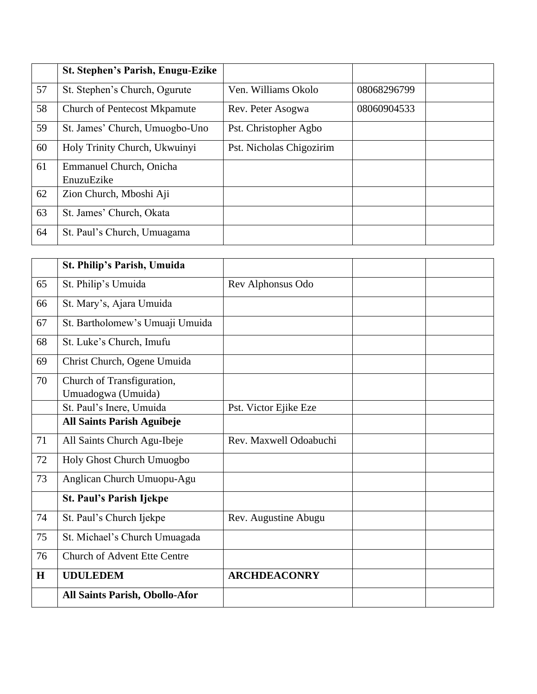|    | <b>St. Stephen's Parish, Enugu-Ezike</b> |                          |             |  |
|----|------------------------------------------|--------------------------|-------------|--|
| 57 | St. Stephen's Church, Ogurute            | Ven. Williams Okolo      | 08068296799 |  |
| 58 | <b>Church of Pentecost Mkpamute</b>      | Rev. Peter Asogwa        | 08060904533 |  |
| 59 | St. James' Church, Umuogbo-Uno           | Pst. Christopher Agbo    |             |  |
| 60 | Holy Trinity Church, Ukwuinyi            | Pst. Nicholas Chigozirim |             |  |
| 61 | Emmanuel Church, Onicha                  |                          |             |  |
|    | EnuzuEzike                               |                          |             |  |
| 62 | Zion Church, Mboshi Aji                  |                          |             |  |
| 63 | St. James' Church, Okata                 |                          |             |  |
| 64 | St. Paul's Church, Umuagama              |                          |             |  |

|    | St. Philip's Parish, Umuida                      |                        |  |
|----|--------------------------------------------------|------------------------|--|
| 65 | St. Philip's Umuida                              | Rev Alphonsus Odo      |  |
| 66 | St. Mary's, Ajara Umuida                         |                        |  |
| 67 | St. Bartholomew's Umuaji Umuida                  |                        |  |
| 68 | St. Luke's Church, Imufu                         |                        |  |
| 69 | Christ Church, Ogene Umuida                      |                        |  |
| 70 | Church of Transfiguration,<br>Umuadogwa (Umuida) |                        |  |
|    | St. Paul's Inere, Umuida                         | Pst. Victor Ejike Eze  |  |
|    | <b>All Saints Parish Aguibeje</b>                |                        |  |
| 71 | All Saints Church Agu-Ibeje                      | Rev. Maxwell Odoabuchi |  |
| 72 | Holy Ghost Church Umuogbo                        |                        |  |
| 73 | Anglican Church Umuopu-Agu                       |                        |  |
|    | <b>St. Paul's Parish Ijekpe</b>                  |                        |  |
| 74 | St. Paul's Church Ijekpe                         | Rev. Augustine Abugu   |  |
| 75 | St. Michael's Church Umuagada                    |                        |  |
| 76 | <b>Church of Advent Ette Centre</b>              |                        |  |
| H  | <b>UDULEDEM</b>                                  | <b>ARCHDEACONRY</b>    |  |
|    | All Saints Parish, Obollo-Afor                   |                        |  |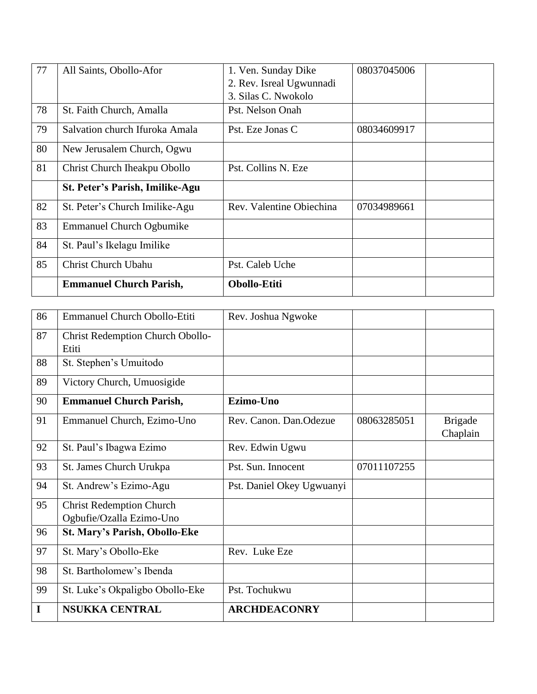| 77 | All Saints, Obollo-Afor         | 1. Ven. Sunday Dike      | 08037045006 |
|----|---------------------------------|--------------------------|-------------|
|    |                                 | 2. Rev. Isreal Ugwunnadi |             |
|    |                                 | 3. Silas C. Nwokolo      |             |
| 78 | St. Faith Church, Amalla        | Pst. Nelson Onah         |             |
| 79 | Salvation church Ifuroka Amala  | Pst. Eze Jonas C         | 08034609917 |
| 80 | New Jerusalem Church, Ogwu      |                          |             |
| 81 | Christ Church Iheakpu Obollo    | Pst. Collins N. Eze      |             |
|    | St. Peter's Parish, Imilike-Agu |                          |             |
| 82 | St. Peter's Church Imilike-Agu  | Rev. Valentine Obiechina | 07034989661 |
| 83 | <b>Emmanuel Church Ogbumike</b> |                          |             |
| 84 | St. Paul's Ikelagu Imilike      |                          |             |
| 85 | Christ Church Ubahu             | Pst. Caleb Uche          |             |
|    | <b>Emmanuel Church Parish,</b>  | <b>Obollo-Etiti</b>      |             |

| 86 | <b>Emmanuel Church Obollo-Etiti</b>     | Rev. Joshua Ngwoke        |             |                |
|----|-----------------------------------------|---------------------------|-------------|----------------|
| 87 | <b>Christ Redemption Church Obollo-</b> |                           |             |                |
|    | Etiti                                   |                           |             |                |
| 88 | St. Stephen's Umuitodo                  |                           |             |                |
| 89 | Victory Church, Umuosigide              |                           |             |                |
| 90 | <b>Emmanuel Church Parish,</b>          | Ezimo-Uno                 |             |                |
| 91 | Emmanuel Church, Ezimo-Uno              | Rev. Canon. Dan.Odezue    | 08063285051 | <b>Brigade</b> |
|    |                                         |                           |             | Chaplain       |
| 92 | St. Paul's Ibagwa Ezimo                 | Rev. Edwin Ugwu           |             |                |
| 93 | St. James Church Urukpa                 | Pst. Sun. Innocent        | 07011107255 |                |
| 94 | St. Andrew's Ezimo-Agu                  | Pst. Daniel Okey Ugwuanyi |             |                |
| 95 | <b>Christ Redemption Church</b>         |                           |             |                |
|    | Ogbufie/Ozalla Ezimo-Uno                |                           |             |                |
| 96 | St. Mary's Parish, Obollo-Eke           |                           |             |                |
| 97 | St. Mary's Obollo-Eke                   | Rev. Luke Eze             |             |                |
| 98 | St. Bartholomew's Ibenda                |                           |             |                |
| 99 | St. Luke's Okpaligbo Obollo-Eke         | Pst. Tochukwu             |             |                |
| I  | <b>NSUKKA CENTRAL</b>                   | <b>ARCHDEACONRY</b>       |             |                |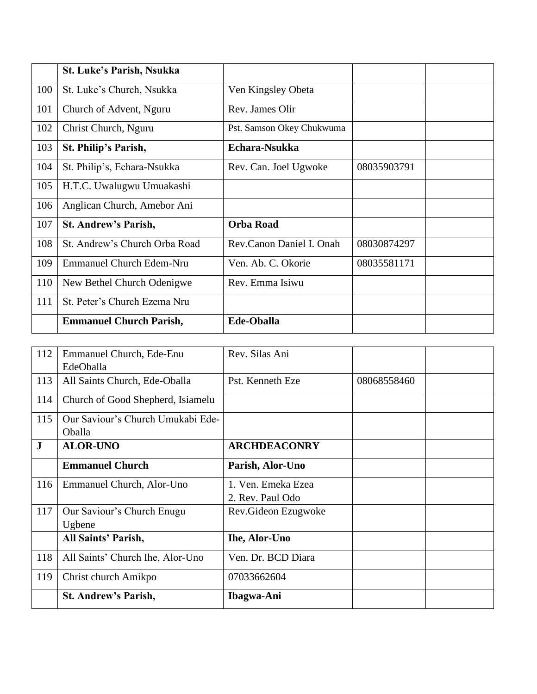|     | St. Luke's Parish, Nsukka       |                           |             |  |
|-----|---------------------------------|---------------------------|-------------|--|
| 100 | St. Luke's Church, Nsukka       | Ven Kingsley Obeta        |             |  |
| 101 | Church of Advent, Nguru         | Rev. James Olir           |             |  |
| 102 | Christ Church, Nguru            | Pst. Samson Okey Chukwuma |             |  |
| 103 | St. Philip's Parish,            | Echara-Nsukka             |             |  |
| 104 | St. Philip's, Echara-Nsukka     | Rev. Can. Joel Ugwoke     | 08035903791 |  |
| 105 | H.T.C. Uwalugwu Umuakashi       |                           |             |  |
| 106 | Anglican Church, Amebor Ani     |                           |             |  |
| 107 | <b>St. Andrew's Parish,</b>     | <b>Orba Road</b>          |             |  |
| 108 | St. Andrew's Church Orba Road   | Rev.Canon Daniel I. Onah  | 08030874297 |  |
| 109 | <b>Emmanuel Church Edem-Nru</b> | Ven. Ab. C. Okorie        | 08035581171 |  |
| 110 | New Bethel Church Odenigwe      | Rev. Emma Isiwu           |             |  |
| 111 | St. Peter's Church Ezema Nru    |                           |             |  |
|     | <b>Emmanuel Church Parish,</b>  | <b>Ede-Oballa</b>         |             |  |

| 112       | Emmanuel Church, Ede-Enu          | Rev. Silas Ani       |             |  |
|-----------|-----------------------------------|----------------------|-------------|--|
|           | EdeOballa                         |                      |             |  |
| 113       | All Saints Church, Ede-Oballa     | Pst. Kenneth Eze     | 08068558460 |  |
| 114       | Church of Good Shepherd, Isiamelu |                      |             |  |
| 115       | Our Saviour's Church Umukabi Ede- |                      |             |  |
|           | <b>Oballa</b>                     |                      |             |  |
| ${\bf J}$ | <b>ALOR-UNO</b>                   | <b>ARCHDEACONRY</b>  |             |  |
|           | <b>Emmanuel Church</b>            | Parish, Alor-Uno     |             |  |
| 116       | Emmanuel Church, Alor-Uno         | 1. Ven. Emeka Ezea   |             |  |
|           |                                   | 2. Rev. Paul Odo     |             |  |
| 117       | Our Saviour's Church Enugu        | Rev. Gideon Ezugwoke |             |  |
|           | Ugbene                            |                      |             |  |
|           | All Saints' Parish,               | <b>Ihe, Alor-Uno</b> |             |  |
| 118       | All Saints' Church Ihe, Alor-Uno  | Ven. Dr. BCD Diara   |             |  |
| 119       | Christ church Amikpo              | 07033662604          |             |  |
|           | <b>St. Andrew's Parish,</b>       | Ibagwa-Ani           |             |  |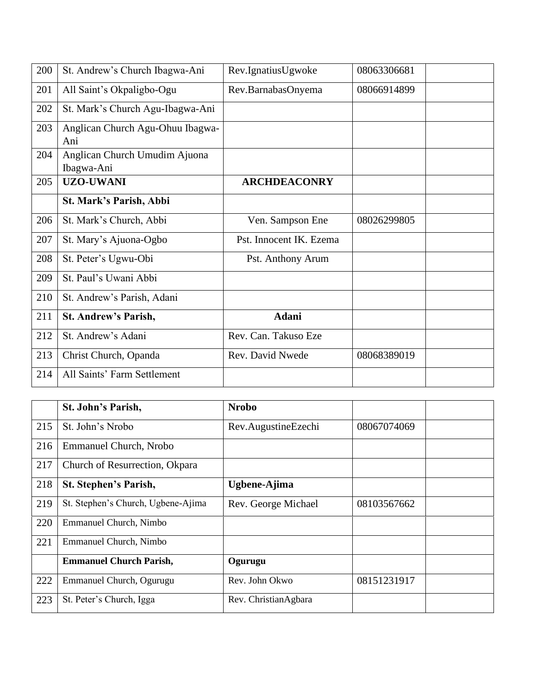| 200 | St. Andrew's Church Ibagwa-Ani              | Rev.IgnatiusUgwoke      | 08063306681 |
|-----|---------------------------------------------|-------------------------|-------------|
| 201 | All Saint's Okpaligbo-Ogu                   | Rev.BarnabasOnyema      | 08066914899 |
| 202 | St. Mark's Church Agu-Ibagwa-Ani            |                         |             |
| 203 | Anglican Church Agu-Ohuu Ibagwa-<br>Ani     |                         |             |
| 204 | Anglican Church Umudim Ajuona<br>Ibagwa-Ani |                         |             |
| 205 | <b>UZO-UWANI</b>                            | <b>ARCHDEACONRY</b>     |             |
|     | St. Mark's Parish, Abbi                     |                         |             |
| 206 | St. Mark's Church, Abbi                     | Ven. Sampson Ene        | 08026299805 |
| 207 | St. Mary's Ajuona-Ogbo                      | Pst. Innocent IK. Ezema |             |
| 208 | St. Peter's Ugwu-Obi                        | Pst. Anthony Arum       |             |
| 209 | St. Paul's Uwani Abbi                       |                         |             |
| 210 | St. Andrew's Parish, Adani                  |                         |             |
| 211 | <b>St. Andrew's Parish,</b>                 | <b>Adani</b>            |             |
| 212 | St. Andrew's Adani                          | Rev. Can. Takuso Eze    |             |
| 213 | Christ Church, Opanda                       | Rev. David Nwede        | 08068389019 |
| 214 | All Saints' Farm Settlement                 |                         |             |

|     | St. John's Parish,                 | <b>Nrobo</b>         |             |
|-----|------------------------------------|----------------------|-------------|
| 215 | St. John's Nrobo                   | Rev.AugustineEzechi  | 08067074069 |
| 216 | <b>Emmanuel Church, Nrobo</b>      |                      |             |
| 217 | Church of Resurrection, Okpara     |                      |             |
| 218 | St. Stephen's Parish,              | Ugbene-Ajima         |             |
| 219 | St. Stephen's Church, Ugbene-Ajima | Rev. George Michael  | 08103567662 |
| 220 | Emmanuel Church, Nimbo             |                      |             |
| 221 | Emmanuel Church, Nimbo             |                      |             |
|     | <b>Emmanuel Church Parish,</b>     | Ogurugu              |             |
| 222 | Emmanuel Church, Ogurugu           | Rev. John Okwo       | 08151231917 |
| 223 | St. Peter's Church, Igga           | Rev. ChristianAgbara |             |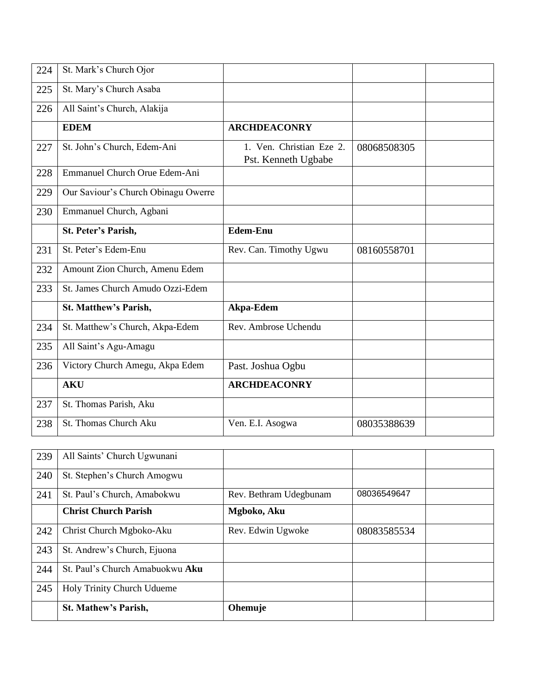| 224 | St. Mark's Church Ojor              |                                                 |             |  |
|-----|-------------------------------------|-------------------------------------------------|-------------|--|
| 225 | St. Mary's Church Asaba             |                                                 |             |  |
| 226 | All Saint's Church, Alakija         |                                                 |             |  |
|     | <b>EDEM</b>                         | <b>ARCHDEACONRY</b>                             |             |  |
| 227 | St. John's Church, Edem-Ani         | 1. Ven. Christian Eze 2.<br>Pst. Kenneth Ugbabe | 08068508305 |  |
| 228 | Emmanuel Church Orue Edem-Ani       |                                                 |             |  |
| 229 | Our Saviour's Church Obinagu Owerre |                                                 |             |  |
| 230 | Emmanuel Church, Agbani             |                                                 |             |  |
|     | St. Peter's Parish,                 | <b>Edem-Enu</b>                                 |             |  |
| 231 | St. Peter's Edem-Enu                | Rev. Can. Timothy Ugwu                          | 08160558701 |  |
| 232 | Amount Zion Church, Amenu Edem      |                                                 |             |  |
| 233 | St. James Church Amudo Ozzi-Edem    |                                                 |             |  |
|     | St. Matthew's Parish,               | Akpa-Edem                                       |             |  |
| 234 | St. Matthew's Church, Akpa-Edem     | Rev. Ambrose Uchendu                            |             |  |
| 235 | All Saint's Agu-Amagu               |                                                 |             |  |
| 236 | Victory Church Amegu, Akpa Edem     | Past. Joshua Ogbu                               |             |  |
|     | <b>AKU</b>                          | <b>ARCHDEACONRY</b>                             |             |  |
| 237 | St. Thomas Parish, Aku              |                                                 |             |  |
| 238 | St. Thomas Church Aku               | Ven. E.I. Asogwa                                | 08035388639 |  |

| 239 | All Saints' Church Ugwunani     |                        |             |  |
|-----|---------------------------------|------------------------|-------------|--|
| 240 | St. Stephen's Church Amogwu     |                        |             |  |
| 241 | St. Paul's Church, Amabokwu     | Rev. Bethram Udegbunam | 08036549647 |  |
|     | <b>Christ Church Parish</b>     | Mgboko, Aku            |             |  |
| 242 | Christ Church Mgboko-Aku        | Rev. Edwin Ugwoke      | 08083585534 |  |
| 243 | St. Andrew's Church, Ejuona     |                        |             |  |
| 244 | St. Paul's Church Amabuokwu Aku |                        |             |  |
| 245 | Holy Trinity Church Udueme      |                        |             |  |
|     | <b>St. Mathew's Parish,</b>     | Ohemuje                |             |  |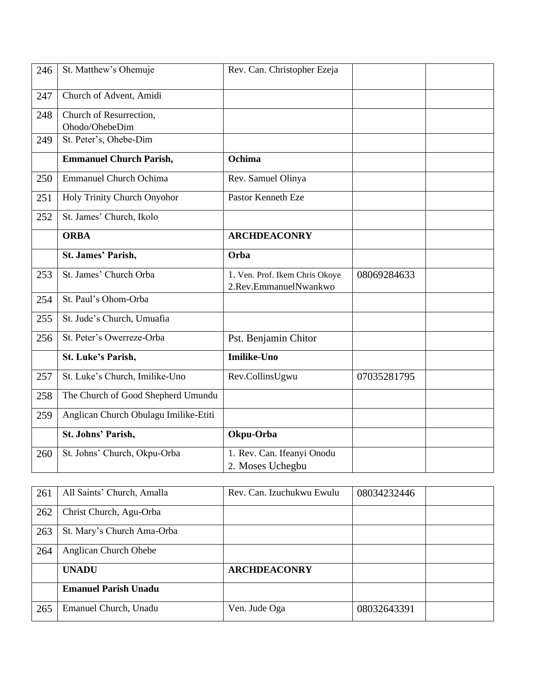| 246 | St. Matthew's Ohemuje                     | Rev. Can. Christopher Ezeja                             |             |  |
|-----|-------------------------------------------|---------------------------------------------------------|-------------|--|
| 247 | Church of Advent, Amidi                   |                                                         |             |  |
| 248 | Church of Resurrection,<br>Ohodo/OhebeDim |                                                         |             |  |
| 249 | St. Peter's, Ohebe-Dim                    |                                                         |             |  |
|     | <b>Emmanuel Church Parish,</b>            | Ochima                                                  |             |  |
| 250 | <b>Emmanuel Church Ochima</b>             | Rev. Samuel Olinya                                      |             |  |
| 251 | Holy Trinity Church Onyohor               | Pastor Kenneth Eze                                      |             |  |
| 252 | St. James' Church, Ikolo                  |                                                         |             |  |
|     | <b>ORBA</b>                               | <b>ARCHDEACONRY</b>                                     |             |  |
|     | St. James' Parish,                        | Orba                                                    |             |  |
| 253 | St. James' Church Orba                    | 1. Ven. Prof. Ikem Chris Okoye<br>2.Rev.EmmanuelNwankwo | 08069284633 |  |
| 254 | St. Paul's Ohom-Orba                      |                                                         |             |  |
| 255 | St. Jude's Church, Umuafia                |                                                         |             |  |
| 256 | St. Peter's Owerreze-Orba                 | Pst. Benjamin Chitor                                    |             |  |
|     | St. Luke's Parish,                        | <b>Imilike-Uno</b>                                      |             |  |
| 257 | St. Luke's Church, Imilike-Uno            | Rev.CollinsUgwu                                         | 07035281795 |  |
| 258 | The Church of Good Shepherd Umundu        |                                                         |             |  |
| 259 | Anglican Church Obulagu Imilike-Etiti     |                                                         |             |  |
|     | St. Johns' Parish,                        | Okpu-Orba                                               |             |  |
| 260 | St. Johns' Church, Okpu-Orba              | 1. Rev. Can. Ifeanyi Onodu<br>2. Moses Uchegbu          |             |  |

| 261 | All Saints' Church, Amalla   | Rev. Can. Izuchukwu Ewulu | 08034232446 |  |
|-----|------------------------------|---------------------------|-------------|--|
| 262 | Christ Church, Agu-Orba      |                           |             |  |
| 263 | St. Mary's Church Ama-Orba   |                           |             |  |
| 264 | <b>Anglican Church Ohebe</b> |                           |             |  |
|     | <b>UNADU</b>                 | <b>ARCHDEACONRY</b>       |             |  |
|     | <b>Emanuel Parish Unadu</b>  |                           |             |  |
| 265 | Emanuel Church, Unadu        | Ven. Jude Oga             | 08032643391 |  |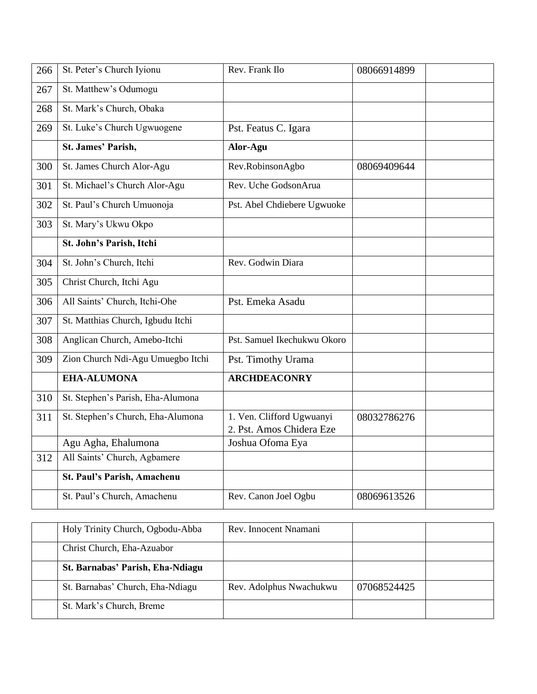| 266 | St. Peter's Church Iyionu         | Rev. Frank Ilo                                        | 08066914899 |
|-----|-----------------------------------|-------------------------------------------------------|-------------|
| 267 | St. Matthew's Odumogu             |                                                       |             |
| 268 | St. Mark's Church, Obaka          |                                                       |             |
| 269 | St. Luke's Church Ugwuogene       | Pst. Featus C. Igara                                  |             |
|     | St. James' Parish,                | Alor-Agu                                              |             |
| 300 | St. James Church Alor-Agu         | Rev.RobinsonAgbo                                      | 08069409644 |
| 301 | St. Michael's Church Alor-Agu     | Rev. Uche GodsonArua                                  |             |
| 302 | St. Paul's Church Umuonoja        | Pst. Abel Chdiebere Ugwuoke                           |             |
| 303 | St. Mary's Ukwu Okpo              |                                                       |             |
|     | St. John's Parish, Itchi          |                                                       |             |
| 304 | St. John's Church, Itchi          | Rev. Godwin Diara                                     |             |
| 305 | Christ Church, Itchi Agu          |                                                       |             |
| 306 | All Saints' Church, Itchi-Ohe     | Pst. Emeka Asadu                                      |             |
| 307 | St. Matthias Church, Igbudu Itchi |                                                       |             |
| 308 | Anglican Church, Amebo-Itchi      | Pst. Samuel Ikechukwu Okoro                           |             |
| 309 | Zion Church Ndi-Agu Umuegbo Itchi | Pst. Timothy Urama                                    |             |
|     | <b>EHA-ALUMONA</b>                | <b>ARCHDEACONRY</b>                                   |             |
| 310 | St. Stephen's Parish, Eha-Alumona |                                                       |             |
| 311 | St. Stephen's Church, Eha-Alumona | 1. Ven. Clifford Ugwuanyi<br>2. Pst. Amos Chidera Eze | 08032786276 |
|     | Agu Agha, Ehalumona               | Joshua Ofoma Eya                                      |             |
| 312 | All Saints' Church, Agbamere      |                                                       |             |
|     | St. Paul's Parish, Amachenu       |                                                       |             |
|     | St. Paul's Church, Amachenu       | Rev. Canon Joel Ogbu                                  | 08069613526 |

| Holy Trinity Church, Ogbodu-Abba | Rev. Innocent Nnamani   |             |  |
|----------------------------------|-------------------------|-------------|--|
| Christ Church, Eha-Azuabor       |                         |             |  |
| St. Barnabas' Parish, Eha-Ndiagu |                         |             |  |
| St. Barnabas' Church, Eha-Ndiagu | Rev. Adolphus Nwachukwu | 07068524425 |  |
| St. Mark's Church, Breme         |                         |             |  |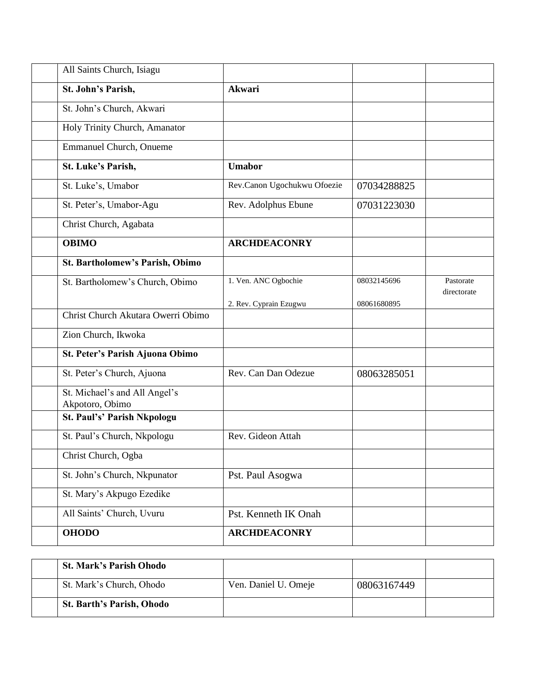| All Saints Church, Isiagu                      |                             |             |                          |
|------------------------------------------------|-----------------------------|-------------|--------------------------|
| St. John's Parish,                             | <b>Akwari</b>               |             |                          |
| St. John's Church, Akwari                      |                             |             |                          |
| Holy Trinity Church, Amanator                  |                             |             |                          |
| <b>Emmanuel Church, Onueme</b>                 |                             |             |                          |
| St. Luke's Parish,                             | <b>Umabor</b>               |             |                          |
| St. Luke's, Umabor                             | Rev.Canon Ugochukwu Ofoezie | 07034288825 |                          |
| St. Peter's, Umabor-Agu                        | Rev. Adolphus Ebune         | 07031223030 |                          |
| Christ Church, Agabata                         |                             |             |                          |
| <b>OBIMO</b>                                   | <b>ARCHDEACONRY</b>         |             |                          |
| St. Bartholomew's Parish, Obimo                |                             |             |                          |
| St. Bartholomew's Church, Obimo                | 1. Ven. ANC Ogbochie        | 08032145696 | Pastorate<br>directorate |
|                                                | 2. Rev. Cyprain Ezugwu      | 08061680895 |                          |
| Christ Church Akutara Owerri Obimo             |                             |             |                          |
| Zion Church, Ikwoka                            |                             |             |                          |
| St. Peter's Parish Ajuona Obimo                |                             |             |                          |
| St. Peter's Church, Ajuona                     | Rev. Can Dan Odezue         | 08063285051 |                          |
| St. Michael's and All Angel's                  |                             |             |                          |
| Akpotoro, Obimo<br>St. Paul's' Parish Nkpologu |                             |             |                          |
| St. Paul's Church, Nkpologu                    | Rev. Gideon Attah           |             |                          |
| Christ Church, Ogba                            |                             |             |                          |
| St. John's Church, Nkpunator                   | Pst. Paul Asogwa            |             |                          |
| St. Mary's Akpugo Ezedike                      |                             |             |                          |
| All Saints' Church, Uvuru                      | Pst. Kenneth IK Onah        |             |                          |
| <b>OHODO</b>                                   | <b>ARCHDEACONRY</b>         |             |                          |

| <b>St. Mark's Parish Ohodo</b>   |                      |             |  |
|----------------------------------|----------------------|-------------|--|
| St. Mark's Church, Ohodo         | Ven. Daniel U. Omeje | 08063167449 |  |
| <b>St. Barth's Parish, Ohodo</b> |                      |             |  |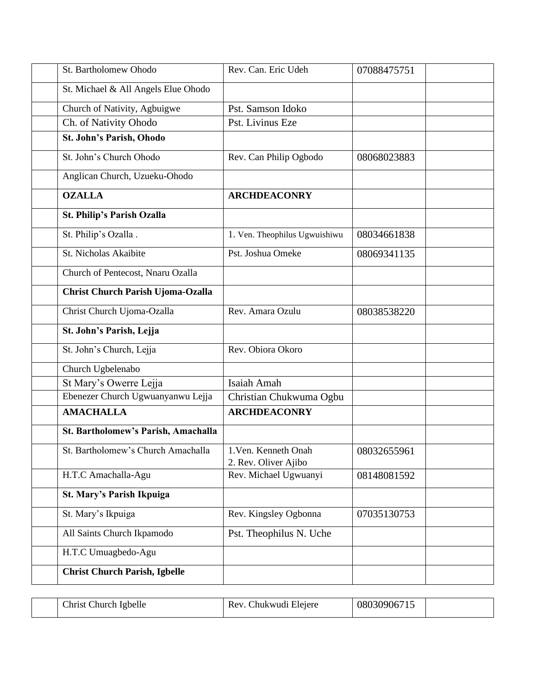| St. Bartholomew Ohodo                    | Rev. Can. Eric Udeh                          | 07088475751 |
|------------------------------------------|----------------------------------------------|-------------|
| St. Michael & All Angels Elue Ohodo      |                                              |             |
| Church of Nativity, Agbuigwe             | Pst. Samson Idoko                            |             |
| Ch. of Nativity Ohodo                    | Pst. Livinus Eze                             |             |
| St. John's Parish, Ohodo                 |                                              |             |
| St. John's Church Ohodo                  | Rev. Can Philip Ogbodo                       | 08068023883 |
| Anglican Church, Uzueku-Ohodo            |                                              |             |
| <b>OZALLA</b>                            | <b>ARCHDEACONRY</b>                          |             |
| <b>St. Philip's Parish Ozalla</b>        |                                              |             |
| St. Philip's Ozalla.                     | 1. Ven. Theophilus Ugwuishiwu                | 08034661838 |
| St. Nicholas Akaibite                    | Pst. Joshua Omeke                            | 08069341135 |
| Church of Pentecost, Nnaru Ozalla        |                                              |             |
| <b>Christ Church Parish Ujoma-Ozalla</b> |                                              |             |
| Christ Church Ujoma-Ozalla               | Rev. Amara Ozulu                             | 08038538220 |
| St. John's Parish, Lejja                 |                                              |             |
| St. John's Church, Lejja                 | Rev. Obiora Okoro                            |             |
| Church Ugbelenabo                        |                                              |             |
| St Mary's Owerre Lejja                   | Isaiah Amah                                  |             |
| Ebenezer Church Ugwuanyanwu Lejja        | Christian Chukwuma Ogbu                      |             |
| <b>AMACHALLA</b>                         | <b>ARCHDEACONRY</b>                          |             |
| St. Bartholomew's Parish, Amachalla      |                                              |             |
| St. Bartholomew's Church Amachalla       | 1. Ven. Kenneth Onah<br>2. Rev. Oliver Ajibo | 08032655961 |
| H.T.C Amachalla-Agu                      | Rev. Michael Ugwuanyi                        | 08148081592 |
| St. Mary's Parish Ikpuiga                |                                              |             |
| St. Mary's Ikpuiga                       | Rev. Kingsley Ogbonna                        | 07035130753 |
| All Saints Church Ikpamodo               | Pst. Theophilus N. Uche                      |             |
| H.T.C Umuagbedo-Agu                      |                                              |             |
| <b>Christ Church Parish, Igbelle</b>     |                                              |             |

| ∴hrist ′<br>Church Igbelle | Chukwudi Elejere<br>Rev. | 080309067 |  |
|----------------------------|--------------------------|-----------|--|
|                            |                          |           |  |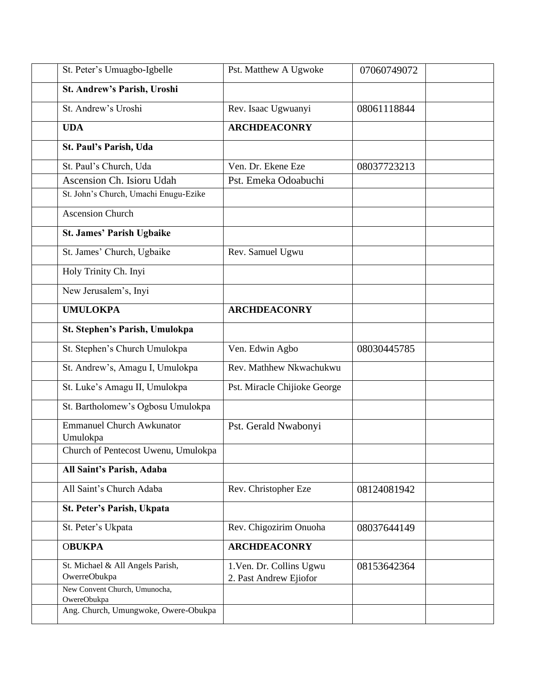| St. Peter's Umuagbo-Igbelle                  | Pst. Matthew A Ugwoke        | 07060749072 |  |
|----------------------------------------------|------------------------------|-------------|--|
| St. Andrew's Parish, Uroshi                  |                              |             |  |
| St. Andrew's Uroshi                          | Rev. Isaac Ugwuanyi          | 08061118844 |  |
| <b>UDA</b>                                   | <b>ARCHDEACONRY</b>          |             |  |
| St. Paul's Parish, Uda                       |                              |             |  |
| St. Paul's Church, Uda                       | Ven. Dr. Ekene Eze           | 08037723213 |  |
| Ascension Ch. Isioru Udah                    | Pst. Emeka Odoabuchi         |             |  |
| St. John's Church, Umachi Enugu-Ezike        |                              |             |  |
| <b>Ascension Church</b>                      |                              |             |  |
| St. James' Parish Ugbaike                    |                              |             |  |
| St. James' Church, Ugbaike                   | Rev. Samuel Ugwu             |             |  |
| Holy Trinity Ch. Inyi                        |                              |             |  |
| New Jerusalem's, Inyi                        |                              |             |  |
| <b>UMULOKPA</b>                              | <b>ARCHDEACONRY</b>          |             |  |
| St. Stephen's Parish, Umulokpa               |                              |             |  |
| St. Stephen's Church Umulokpa                | Ven. Edwin Agbo              | 08030445785 |  |
| St. Andrew's, Amagu I, Umulokpa              | Rev. Mathhew Nkwachukwu      |             |  |
| St. Luke's Amagu II, Umulokpa                | Pst. Miracle Chijioke George |             |  |
| St. Bartholomew's Ogbosu Umulokpa            |                              |             |  |
| <b>Emmanuel Church Awkunator</b><br>Umulokpa | Pst. Gerald Nwabonyi         |             |  |
| Church of Pentecost Uwenu, Umulokpa          |                              |             |  |
| All Saint's Parish, Adaba                    |                              |             |  |
| All Saint's Church Adaba                     | Rev. Christopher Eze         | 08124081942 |  |
| St. Peter's Parish, Ukpata                   |                              |             |  |
| St. Peter's Ukpata                           | Rev. Chigozirim Onuoha       | 08037644149 |  |
| <b>OBUKPA</b>                                | <b>ARCHDEACONRY</b>          |             |  |
| St. Michael & All Angels Parish,             | 1. Ven. Dr. Collins Ugwu     | 08153642364 |  |
| OwerreObukpa                                 | 2. Past Andrew Ejiofor       |             |  |
| New Convent Church, Umunocha,<br>OwereObukpa |                              |             |  |
| Ang. Church, Umungwoke, Owere-Obukpa         |                              |             |  |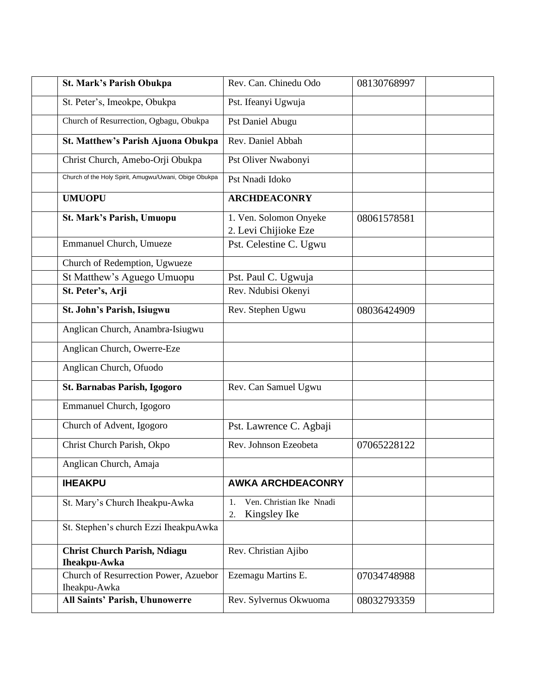| St. Mark's Parish Obukpa                                   | Rev. Can. Chinedu Odo                                | 08130768997 |  |
|------------------------------------------------------------|------------------------------------------------------|-------------|--|
| St. Peter's, Imeokpe, Obukpa                               | Pst. Ifeanyi Ugwuja                                  |             |  |
| Church of Resurrection, Ogbagu, Obukpa                     | Pst Daniel Abugu                                     |             |  |
| <b>St. Matthew's Parish Ajuona Obukpa</b>                  | Rev. Daniel Abbah                                    |             |  |
| Christ Church, Amebo-Orji Obukpa                           | Pst Oliver Nwabonyi                                  |             |  |
| Church of the Holy Spirit, Amugwu/Uwani, Obige Obukpa      | Pst Nnadi Idoko                                      |             |  |
| <b>UMUOPU</b>                                              | <b>ARCHDEACONRY</b>                                  |             |  |
| St. Mark's Parish, Umuopu                                  | 1. Ven. Solomon Onyeke<br>2. Levi Chijioke Eze       | 08061578581 |  |
| Emmanuel Church, Umueze                                    | Pst. Celestine C. Ugwu                               |             |  |
| Church of Redemption, Ugwueze                              |                                                      |             |  |
| St Matthew's Aguego Umuopu                                 | Pst. Paul C. Ugwuja                                  |             |  |
| St. Peter's, Arji                                          | Rev. Ndubisi Okenyi                                  |             |  |
| St. John's Parish, Isiugwu                                 | Rev. Stephen Ugwu                                    | 08036424909 |  |
| Anglican Church, Anambra-Isiugwu                           |                                                      |             |  |
| Anglican Church, Owerre-Eze                                |                                                      |             |  |
| Anglican Church, Ofuodo                                    |                                                      |             |  |
| St. Barnabas Parish, Igogoro                               | Rev. Can Samuel Ugwu                                 |             |  |
| Emmanuel Church, Igogoro                                   |                                                      |             |  |
| Church of Advent, Igogoro                                  | Pst. Lawrence C. Agbaji                              |             |  |
| Christ Church Parish, Okpo                                 | Rev. Johnson Ezeobeta                                | 07065228122 |  |
| Anglican Church, Amaja                                     |                                                      |             |  |
| <b>IHEAKPU</b>                                             | <b>AWKA ARCHDEACONRY</b>                             |             |  |
| St. Mary's Church Iheakpu-Awka                             | Ven. Christian Ike Nnadi<br>1.<br>Kingsley Ike<br>2. |             |  |
| St. Stephen's church Ezzi IheakpuAwka                      |                                                      |             |  |
| <b>Christ Church Parish, Ndiagu</b><br><b>Iheakpu-Awka</b> | Rev. Christian Ajibo                                 |             |  |
| Church of Resurrection Power, Azuebor<br>Iheakpu-Awka      | Ezemagu Martins E.                                   | 07034748988 |  |
| All Saints' Parish, Uhunowerre                             | Rev. Sylvernus Okwuoma                               | 08032793359 |  |